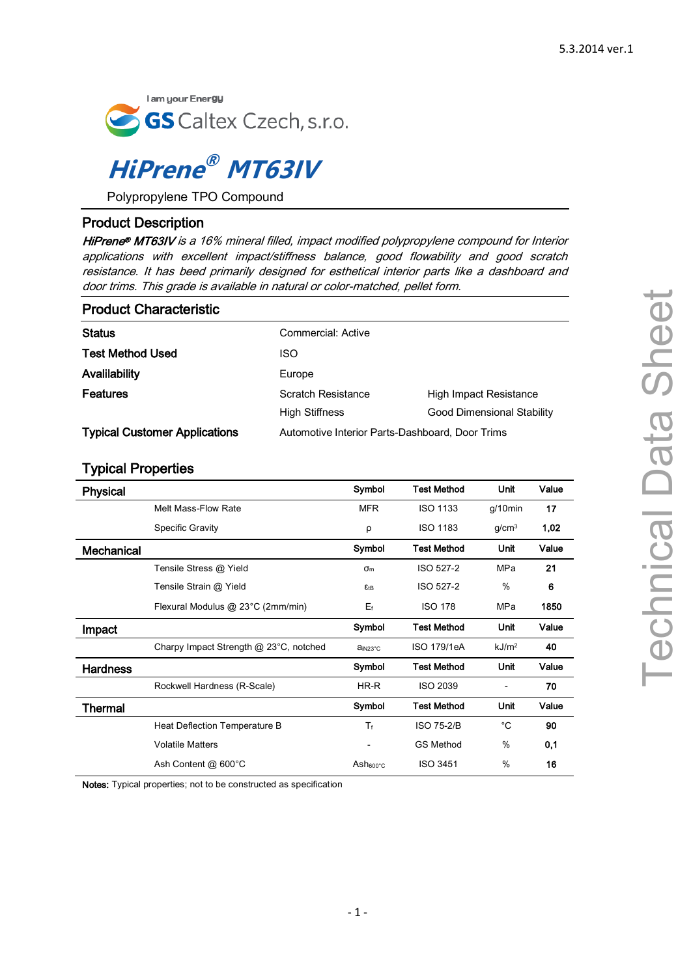

# **HiPrene ® MT63IV**

Polypropylene TPO Compound

## Product Description

HiPrene® MT63IV is a 16% mineral filled, impact modified polypropylene compound for Interior applications with excellent impact/stiffness balance, good flowability and good scratch resistance. It has beed primarily designed for esthetical interior parts like a dashboard and door trims. This grade is available in natural or color-matched, pellet form.

| <b>Product Characteristic</b>        |                                                 |                            |  |
|--------------------------------------|-------------------------------------------------|----------------------------|--|
| <b>Status</b>                        | Commercial: Active                              |                            |  |
| <b>Test Method Used</b>              | <b>ISO</b>                                      |                            |  |
| Avalilability                        | Europe                                          |                            |  |
| <b>Features</b>                      | Scratch Resistance                              | High Impact Resistance     |  |
|                                      | High Stiffness                                  | Good Dimensional Stability |  |
| <b>Typical Customer Applications</b> | Automotive Interior Parts-Dashboard, Door Trims |                            |  |

## Typical Properties

| <b>Physical</b> |                                        | Symbol                   | <b>Test Method</b> | Unit              | Value |
|-----------------|----------------------------------------|--------------------------|--------------------|-------------------|-------|
|                 | Melt Mass-Flow Rate                    | <b>MFR</b>               | <b>ISO 1133</b>    | $q/10$ min        | 17    |
|                 | <b>Specific Gravity</b>                | ρ                        | <b>ISO 1183</b>    | g/cm <sup>3</sup> | 1,02  |
| Mechanical      |                                        | Symbol                   | <b>Test Method</b> | Unit              | Value |
|                 | Tensile Stress @ Yield                 | $\sigma_{m}$             | <b>ISO 527-2</b>   | MPa               | 21    |
|                 | Tensile Strain @ Yield                 | $E$ tB                   | <b>ISO 527-2</b>   | $\%$              | 6     |
|                 | Flexural Modulus @ 23°C (2mm/min)      | $E_f$                    | <b>ISO 178</b>     | <b>MPa</b>        | 1850  |
| Impact          |                                        | Symbol                   | <b>Test Method</b> | Unit              | Value |
|                 | Charpy Impact Strength @ 23°C, notched | ain <sub>23°C</sub>      | ISO 179/1eA        | kJ/m <sup>2</sup> | 40    |
| <b>Hardness</b> |                                        | Symbol                   | <b>Test Method</b> | Unit              | Value |
|                 | Rockwell Hardness (R-Scale)            | HR-R                     | <b>ISO 2039</b>    |                   | 70    |
| Thermal         |                                        | Symbol                   | <b>Test Method</b> | Unit              | Value |
|                 | Heat Deflection Temperature B          | $T_{f}$                  | <b>ISO 75-2/B</b>  | $^{\circ}C$       | 90    |
|                 | <b>Volatile Matters</b>                | $\overline{\phantom{a}}$ | <b>GS Method</b>   | $\%$              | 0,1   |
|                 | Ash Content @ 600°C                    | Ash <sub>600°C</sub>     | <b>ISO 3451</b>    | %                 | 16    |

Notes: Typical properties; not to be constructed as specification